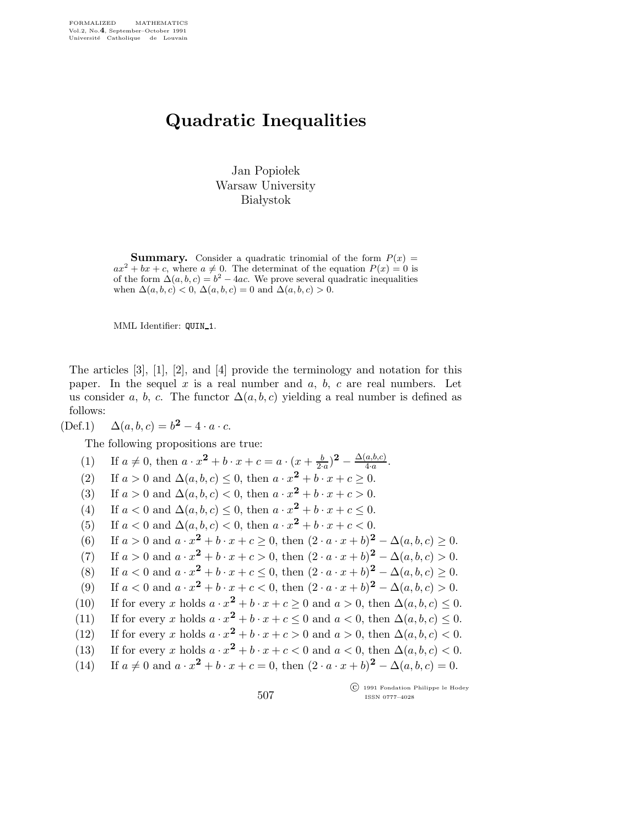## Quadratic Inequalities

Jan Popiołek Warsaw University **Białystok** 

**Summary.** Consider a quadratic trinomial of the form  $P(x) =$  $ax^{2} + bx + c$ , where  $a \neq 0$ . The determinat of the equation  $P(x) = 0$  is of the form  $\Delta(a, b, c) = b^2 - 4ac$ . We prove several quadratic inequalities when  $\Delta(a, b, c) < 0$ ,  $\Delta(a, b, c) = 0$  and  $\Delta(a, b, c) > 0$ .

MML Identifier: QUIN\_1.

The articles [3], [1], [2], and [4] provide the terminology and notation for this paper. In the sequel  $x$  is a real number and  $a, b, c$  are real numbers. Let us consider a, b, c. The functor  $\Delta(a, b, c)$  yielding a real number is defined as follows:

(Def.1)  $\Delta(a, b, c) = b^2 - 4 \cdot a \cdot c$ .

The following propositions are true:

(1) If  $a \neq 0$ , then  $a \cdot x^2 + b \cdot x + c = a \cdot (x + \frac{b}{2 \cdot a})^2 - \frac{\Delta(a, b, c)}{4 \cdot a}$ . (2) If  $a > 0$  and  $\Delta(a, b, c) \leq 0$ , then  $a \cdot x^2 + b \cdot x + c \geq 0$ . (3) If  $a > 0$  and  $\Delta(a, b, c) < 0$ , then  $a \cdot x^2 + b \cdot x + c > 0$ . (4) If  $a < 0$  and  $\Delta(a, b, c) \leq 0$ , then  $a \cdot x^2 + b \cdot x + c \leq 0$ . (5) If  $a < 0$  and  $\Delta(a, b, c) < 0$ , then  $a \cdot x^2 + b \cdot x + c < 0$ . (6) If  $a > 0$  and  $a \cdot x^2 + b \cdot x + c \ge 0$ , then  $(2 \cdot a \cdot x + b)^2 - \Delta(a, b, c) \ge 0$ . (7) If  $a > 0$  and  $a \cdot x^2 + b \cdot x + c > 0$ , then  $(2 \cdot a \cdot x + b)^2 - \Delta(a, b, c) > 0$ . (8) If  $a < 0$  and  $a \cdot x^2 + b \cdot x + c \le 0$ , then  $(2 \cdot a \cdot x + b)^2 - \Delta(a, b, c) \ge 0$ . (9) If  $a < 0$  and  $a \cdot x^2 + b \cdot x + c < 0$ , then  $(2 \cdot a \cdot x + b)^2 - \Delta(a, b, c) > 0$ . (10) If for every x holds  $a \cdot x^2 + b \cdot x + c \ge 0$  and  $a > 0$ , then  $\Delta(a, b, c) \le 0$ . (11) If for every x holds  $a \cdot x^2 + b \cdot x + c \le 0$  and  $a < 0$ , then  $\Delta(a, b, c) \le 0$ . (12) If for every x holds  $a \cdot x^2 + b \cdot x + c > 0$  and  $a > 0$ , then  $\Delta(a, b, c) < 0$ . (13) If for every x holds  $a \cdot x^2 + b \cdot x + c < 0$  and  $a < 0$ , then  $\Delta(a, b, c) < 0$ . (14) If  $a \neq 0$  and  $a \cdot x^2 + b \cdot x + c = 0$ , then  $(2 \cdot a \cdot x + b)^2 - \Delta(a, b, c) = 0$ .

 c 1991 Fondation Philippe le Hodey ISSN 0777–4028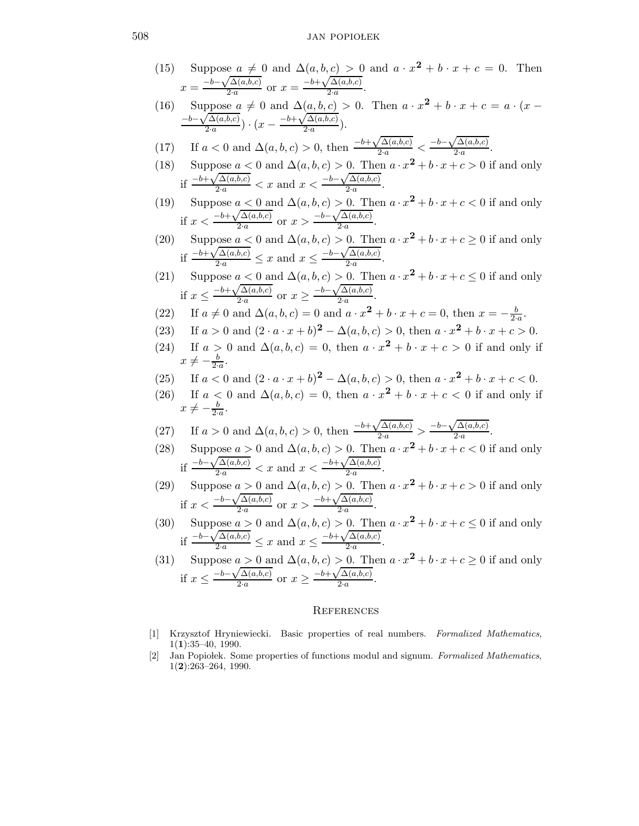## 508 JAN POPIOLEK

(15) Suppose 
$$
a \neq 0
$$
 and  $\Delta(a, b, c) > 0$  and  $a \cdot x^2 + b \cdot x + c = 0$ . Then  
\n
$$
x = \frac{-b - \sqrt{\Delta(a, b, c)}}{2 \cdot a}
$$
 or  $x = \frac{-b + \sqrt{\Delta(a, b, c)}}{2 \cdot a}$ .  
\n(16) Suppose  $a \neq 0$  and  $\Delta(a, b, c) > 0$ . Then  $a \cdot x^2 + b \cdot x + c = a \cdot (x - \frac{-b - \sqrt{\Delta(a, b, c)}}{2 \cdot a}) \cdot (x - \frac{-b + \sqrt{\Delta(a, b, c)}}{2 \cdot a})$ .  
\n(17) If  $a < 0$  and  $\Delta(a, b, c) > 0$ , then  $\frac{-b + \sqrt{\Delta(a, b, c)}}{2 \cdot a} < \frac{-b - \sqrt{\Delta(a, b, c)}}{2 \cdot a}$ .

(18) Suppose 
$$
a < 0
$$
 and  $\Delta(a, b, c) > 0$ . Then  $a \cdot x^2 + b \cdot x + c > 0$  if and only if  $\frac{-b + \sqrt{\Delta(a, b, c)}}{2 \cdot a} < x$  and  $x < \frac{-b - \sqrt{\Delta(a, b, c)}}{2 \cdot a}$ .

 $2·a$ 

(19) Suppose 
$$
a < 0
$$
 and  $\Delta(a, b, c) > 0$ . Then  $a \cdot x^2 + b \cdot x + c < 0$  if and only if  $x < \frac{-b + \sqrt{\Delta(a, b, c)}}{2 \cdot a}$  or  $x > \frac{-b - \sqrt{\Delta(a, b, c)}}{2 \cdot a}$ .

(20) Suppose 
$$
a < 0
$$
 and  $\Delta(a, b, c) > 0$ . Then  $a \cdot x^2 + b \cdot x + c \ge 0$  if and only if  $\frac{-b + \sqrt{\Delta(a, b, c)}}{2 \cdot a} \le x$  and  $x \le \frac{-b - \sqrt{\Delta(a, b, c)}}{2 \cdot a}$ .

(21) Suppose 
$$
a < 0
$$
 and  $\Delta(a, b, c) > 0$ . Then  $a \cdot x^2 + b \cdot x + c \le 0$  if and only if  $x \le \frac{-b + \sqrt{\Delta(a, b, c)}}{2 \cdot a}$  or  $x \ge \frac{-b - \sqrt{\Delta(a, b, c)}}{2 \cdot a}$ .

(22) If 
$$
a \neq 0
$$
 and  $\Delta(a, b, c) = 0$  and  $a \cdot x^2 + b \cdot x + c = 0$ , then  $x = -\frac{b}{2 \cdot a}$ .

(23) If 
$$
a > 0
$$
 and  $(2 \cdot a \cdot x + b)^2 - \Delta(a, b, c) > 0$ , then  $a \cdot x^2 + b \cdot x + c > 0$ .

- (24) If  $a > 0$  and  $\Delta(a, b, c) = 0$ , then  $a \cdot x^2 + b \cdot x + c > 0$  if and only if  $x \neq -\frac{b}{2 \cdot a}.$  $2-a$
- (25) If  $a < 0$  and  $(2 \cdot a \cdot x + b)^2 \Delta(a, b, c) > 0$ , then  $a \cdot x^2 + b \cdot x + c < 0$ .
- (26) If  $a < 0$  and  $\Delta(a, b, c) = 0$ , then  $a \cdot x^2 + b \cdot x + c < 0$  if and only if  $x \neq -\frac{b}{2 \cdot a}.$

(27) If 
$$
a > 0
$$
 and  $\Delta(a, b, c) > 0$ , then  $\frac{-b + \sqrt{\Delta(a, b, c)}}{2 \cdot a} > \frac{-b - \sqrt{\Delta(a, b, c)}}{2 \cdot a}$ .

- (28) Suppose  $a > 0$  and  $\Delta(a, b, c) > 0$ . Then  $a \cdot x^2 + b \cdot x + c < 0$  if and only if  $\frac{-b-\sqrt{\Delta(a,b,c)}}{2\cdot a} < x$  and  $x < \frac{-b+\sqrt{\Delta(a,b,c)}}{2\cdot a}$  $\frac{a^{(a, b, c)}}{2 \cdot a}$ .
- (29) Suppose  $a > 0$  and  $\Delta(a, b, c) > 0$ . Then  $a \cdot x^2 + b \cdot x + c > 0$  if and only if  $x < \frac{-b-\sqrt{\Delta(a,b,c)}}{2a}$  $\frac{\sqrt{\Delta(a,b,c)}}{2\cdot a}$  or  $x > \frac{-b+\sqrt{\Delta(a,b,c)}}{2\cdot a}$  $\frac{\Delta(a, b, c)}{2 \cdot a}$ .
- (30) Suppose  $a > 0$  and  $\Delta(a, b, c) > 0$ . Then  $a \cdot x^2 + b \cdot x + c \le 0$  if and only if  $\frac{-b-\sqrt{\Delta(a,b,c)}}{2\cdot a} \leq x$  and  $x \leq \frac{-b+\sqrt{\Delta(a,b,c)}}{2\cdot a}$  $\frac{a^{(a, b, c)}}{2 \cdot a}$ .

(31) Suppose 
$$
a > 0
$$
 and  $\Delta(a, b, c) > 0$ . Then  $a \cdot x^2 + b \cdot x + c \ge 0$  if and only if  $x \le \frac{-b - \sqrt{\Delta(a, b, c)}}{2 \cdot a}$  or  $x \ge \frac{-b + \sqrt{\Delta(a, b, c)}}{2 \cdot a}$ .

## **REFERENCES**

- [1] Krzysztof Hryniewiecki. Basic properties of real numbers. Formalized Mathematics,  $1(1):35-40, 1990.$
- [2] Jan Popiolek. Some properties of functions modul and signum. Formalized Mathematics, 1(2):263–264, 1990.